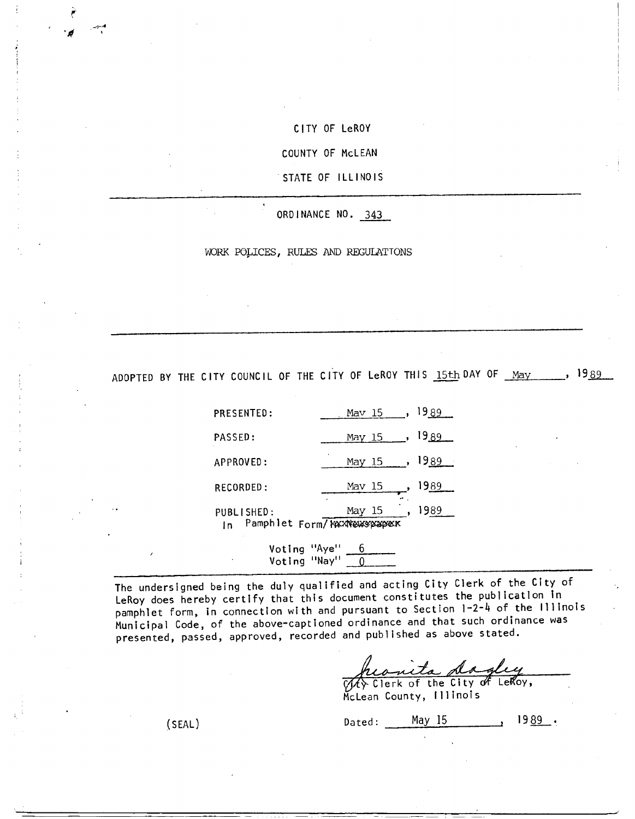CITY OF LeROY

COUNTY OF McLEAN

STATE OF ILLINOIS

ORDINANCE NO. 343

WORK POLICES, RULES AND REGULATTONS

ADOPTED BY THE CITY COUNCIL OF THE CITY OF LeROY THIS 15th DAY OF May 1989

| <b>PRESENTED:</b> | Mav 15<br>$\overline{\phantom{a}}$    | <b>1989</b> |
|-------------------|---------------------------------------|-------------|
| PASSED:           | May 15 , 1989                         |             |
| APPROVED:         | May 15, $1989$                        |             |
| RECORDED:         | Mav 15                                | 1989        |
| PUBLISHED:        | May 15<br>Pamphlet Form/ KAXNewspaper | 1989        |

Voting "Aye" 6 Voting "Nay"  $\boxed{0}$ 

The undersigned being the duly qualified and acting City Clerk of the City of LeRoy does hereby certify that this document constitutes the publication in pamphlet form, in connection with and pursuant to Section 1-2-4 of the Illinois Municipal Code, of the above-captioned ordinance and that such ordinance was presented, passed, approved, recorded and published as above stated.

heanita dagley

McLean County, Illinois

(SEAL) Dated:  $\frac{May 15}{29}$  1989.

 $\mathcal{P}$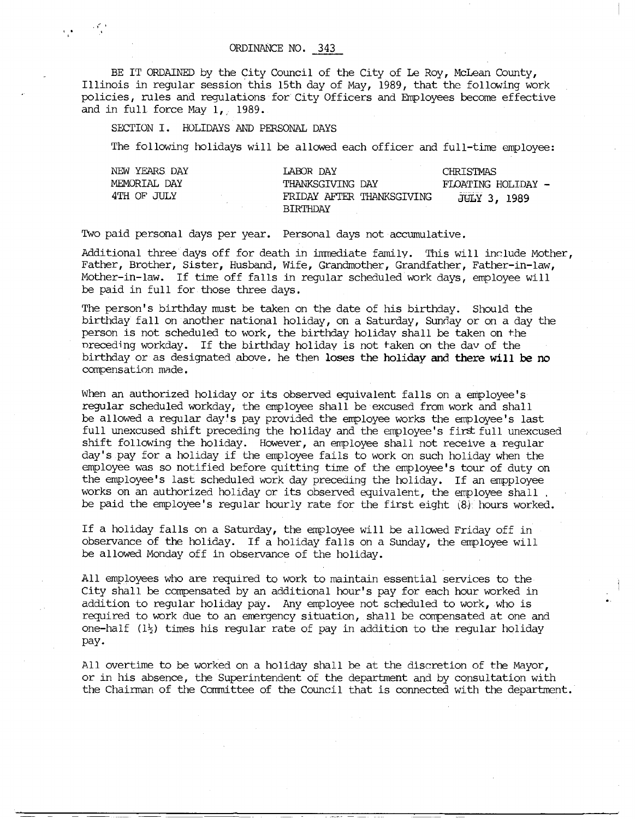## ORDINANCE NO. 343

BE IT ORDAINED by the City Council of the City of Le Roy, McLean County, Illinois in regular session this 15th day of May, 1989, that the following work policies, rules and regulations for City Officers and Employees become effective and in full force May 1, 1989.

## SECTION I. HOLIDAYS AND PERSONAL DAYS

The following holidays will be allowed each officer and full-time employee:

| NEW YEARS DAY | LABOR DAY                                    | CHRISTMAS           |
|---------------|----------------------------------------------|---------------------|
| MEMORIAL DAY  | THANKSGIVING DAY                             | FLOATING HOLIDAY -  |
| 4TH OF JULY   | FRIDAY AFTER THANKSGIVING<br><b>BTRTHDAY</b> | <b>JULY 3, 1989</b> |

Two paid personal days per year. Personal days not accumulative.

Additional three days off for death in immediate family. This will include Mother, Father, Brother, Sister, Husband, Wife, Grandmother, Grandfather, Father-in-law, Mother-in-law. If time off falls in regular scheduled work days, employee will be paid in full for those three days.

The person's birthday must be taken on the date of his birthday. Should the birthday fall on another national holiday, on a Saturday, Sunday or on a day the person is not scheduled to work, the birthday holiday shall be taken on the preceding workday. If the birthday holiday is not faken on the day of the birthday or as designated above. he then **loses** the holiday and there **will be no**  compensation made.

When an authorized holiday or its observed equivalent falls on a employee's regular scheduled workday, the employee shall be excused from work and shall be allowed a regular day's pay provided the employee works the employee's last full unexcused shift preceding the holiday and the employee's first full unexcused shift following the holiday. However, an employee shall not receive a regular day's pay for a holiday if the employee fails to work on such holiday when the employee was so notified before quitting time of the employee's tour of duty on the employee's last scheduled work day preceding the holiday. If an empployee works on an authorized holiday or its observed equivalent, the employee shall, be paid the employee's regular hourly rate for the first eight (8) hours worked.

If a holiday falls on a Saturday, the employee will be allowed Friday off in observance of the holiday. If a holiday falls on a Sunday, the employee will be allowed Monday off in observance of the holiday.

All employees who are required to work to maintain essential services to the City shall be compensated by an additional hour's pay for each hour worked in addition to regular holiday pay. Any employee not scheduled to work, who is required to work due to an emergency situation, shall be compensated at one and one-half  $(1\frac{1}{2})$  times his regular rate of pay in addition to the regular holiday pay -

All overtime to be worked on a holiday shall be at the discretion of the Mayor, or in his absence, the Superintendent of the department and by consultation with the Chairman of the Committee of the Council that is connected with the department.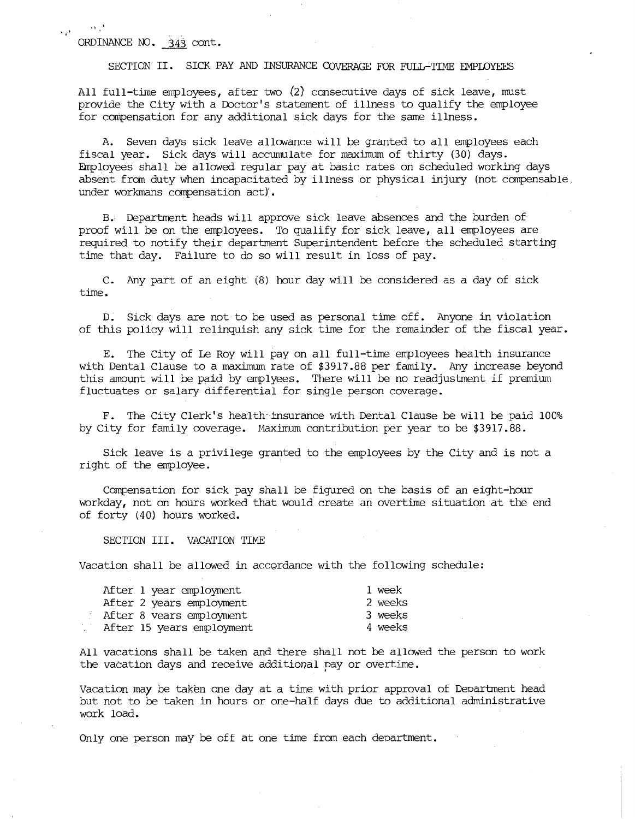ORDINANCE NO. 343 cont.

 $\mathbf{M} \in \mathbb{R}^d$ 

s p

SECTION II. SICK PAY AND INSURANCE COVERAGE FOR FULL-TIME EMPLOYEES

All full-time employees, after two (2) consecutive days of sick leave, must provide the City with a Doctor's statement of illness to qualify the employee for compensation for any additional sick days for the same illness.

A. Seven days sick leave allowance will be granted to all employees each fiscal year. Sick days will accumulate for maximum of thirty (30) days. Employees shall be allowed regular pay at basic rates on scheduled working days absent from duty when incapacitated by illness or physical injury (not compensable, under workmans compensation act)'.

B.: Department heads will approve sick leave absences and the burden of proof will be on the employees. To qualify for sick leave, all employees are required to notify their department Superintendent before the scheduled starting time that day. Failure to do so will result in loss of pay.

C. Any part of an eight (8) hour day will be considered as a day of sick time.

D. Sick days are not to be used as personal time off. Anyone in violation of this policy will relinquish any sick time for the remainder of the fiscal year.

E. The City of Le Roy will pay on all full-time employees health insurance with Dental Clause to a maximum rate of \$3917.88 per family. Any increase beyond this amount will be paid by emplyees. There will be no readjustment if premium fluctuates or salary differential for single person coverage.

F. The City Clerk's health insurance with Dental Clause be will be paid 100% by City for family coverage. Maximum contribution per year to be \$3917.88.

Sick leave is a privilege granted to the employees by the City and is not a right of the employee.

Compensation for sick pay shall be figured on the basis of an eight-hour workday, not on hours worked that would create an overtime situation at the end of forty (40) hours worked.

SECTION III. VACATION TIME

Vacation shall be allowed in accordance with the following schedule:

| After 1 year employment   | 1 week  |
|---------------------------|---------|
| After 2 years employment  | 2 weeks |
| After 8 vears employment  | 3 weeks |
| After 15 years employment | 4 weeks |

All vacations shall be taken and there shall not be allowed the person to work the vacation days and receive additional may or overtime.

Vacation may be taken one day at a time with prior approval of Department head but not to be taken in hours or one-half days due to additional administrative work load.

Only one person may be off at one time from each department.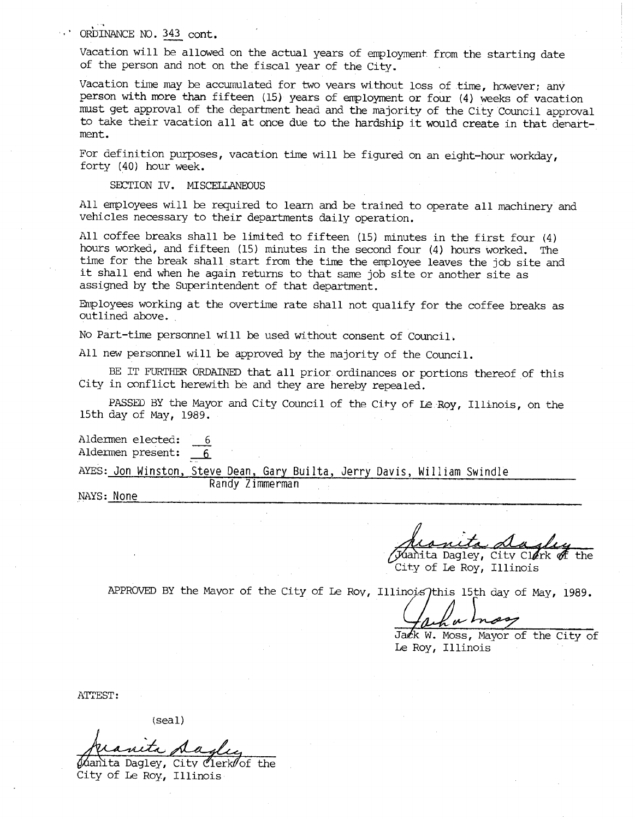## ORDINANCE N0. 343 cont.

Vacation will be allowed on the actual years of employment from the starting date of the person and not on the fiscal year of the City.

Vacation time may be accumulated for two years without loss of time, however; any person with more than fifteen (15) years of employment or four (4) weeks of vacation must get approval of the department head and the majority of the City Council approval to take their vacation all at once due to the hardship it would create in that department.

For definition purposes, vacation time will be figured on an eight-hour workday, forty (40) hour week.

SECTION IV. MISCELLANEOUS

All employees will be required to learn and be trained to operate all machinery and vehicles necessary to their departments daily operation.

All coffee breaks shall be limited to fifteen (15) minutes in the first four (4) hours worked, and fifteen (15) minutes in the second four (4) hours worked. The time for the break shall start from the time the employee leaves the job site and it shall end when he again returns to that same job site or another site as assigned by the Superintendent of that department.

Employees working at the overtime rate shall not qualify for the coffee breaks as outlined above.

No Part-time personnel will be used without consent of Council.

Randy Zimmerman

All new personnel will be approved by the majority of the Council.

BE IT FURTHER ORDAINED that all prior ordinances or portions thereof of this City in conflict herewith be and they are hereby repealed.

PASSED BY the Mayor and City Council of the City of Le Roy, Illinois, on the 15th day of May, 1989.

Aldermen elected: 6 Aldermen present: 6

AYES: Jon Winston, Steve Dean, Gary Builta, Jerry Davis, William Swindle

NAYS: None

iahita Dagley, City Cl $\ell$ rk  $\partial\!\ell$  the City of Le Roy, Illinois

APPROVED BY the Mayor of the City of Le Roy, Illinois this 15th day of May, 1989.

u h

Jack W. Moss, Mayor of the City of Le Roy, Illinois

ATTEST:

(seal)

hanita Dagley, City Clerk of the City of Le Roy, Illinois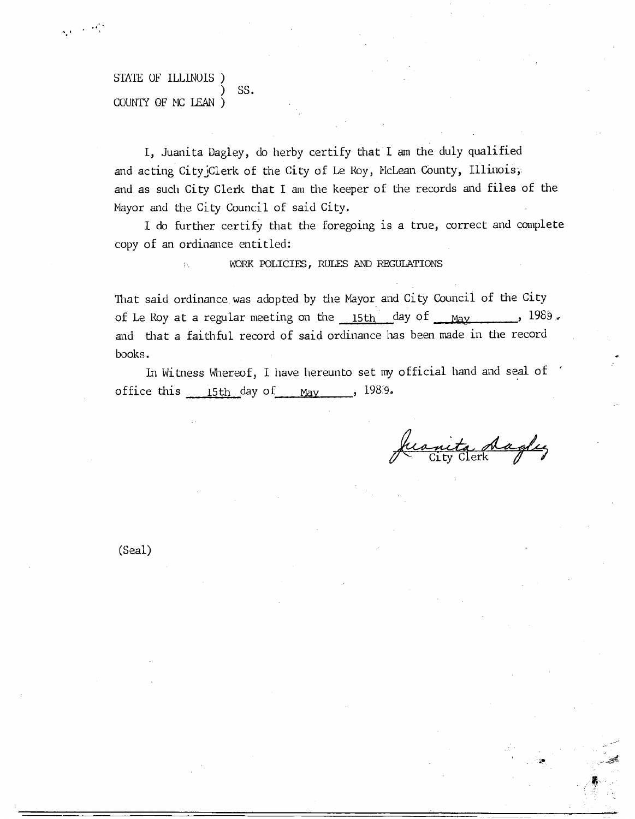## STATE OF ILLINOIS ) SS. COUNTY OF MC LEAN )

 $\zeta_{\rm eff} \sim 10^{12}$ 

I, Juanita Dagley, do herby certify that 1 am the duly qualified and acting City Clerk of the City of Le Roy, McLean County, Illinois, and as such City Clerk that I am the keeper of the records and files of the Mayor and the City Council of said City.

1 do further certify that the foregoing is a true, correct and complete copy of an ordinance entitled:

WORK POLICIES, RULES AND REGULATIONS

That said ordinance was adopted by the Mayor and City Council of the City of Le Roy at a regular meeting on the  $15th$  day of  $\mu$ and that a faithful record of said ordinance has been made in the record books.

In Witness Whereof, I have hereunto set my official hand and seal of office this  $15th$  day of May , 1989.

neta daglez<br>ity Clerk

(Seal)